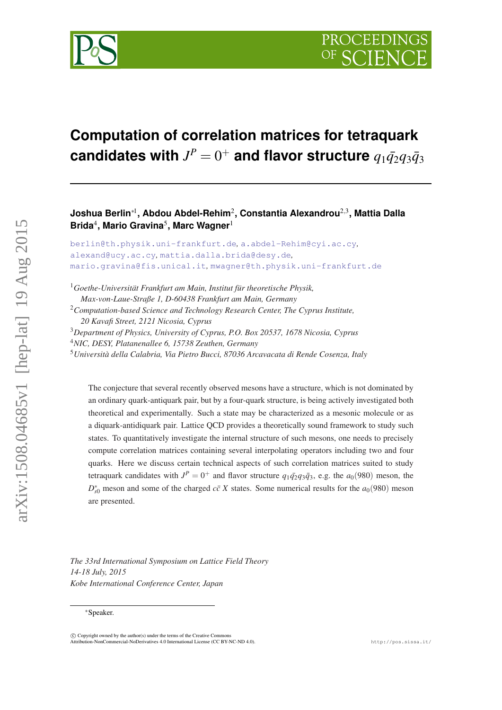

# **Computation of correlation matrices for tetraquark**  $\bf{candidate}$  with  $J^P=0^+$  and flavor structure  $q_1\bar{q_2}q_3\bar{q_3}$

**Joshua Berlin**∗<sup>1</sup> **, Abdou Abdel-Rehim**<sup>2</sup> **, Constantia Alexandrou**2,<sup>3</sup> **, Mattia Dalla Brida**<sup>4</sup> **, Mario Gravina**<sup>5</sup> **, Marc Wagner**<sup>1</sup>

```
berlin@th.physik.uni-frankfurt.de, a.abdel-Rehim@cyi.ac.cy,
alexand@ucy.ac.cy, mattia.dalla.brida@desy.de,
mario.gravina@fis.unical.it, mwagner@th.physik.uni-frankfurt.de
```
*Goethe-Universität Frankfurt am Main, Institut für theoretische Physik, Max-von-Laue-Straße 1, D-60438 Frankfurt am Main, Germany Computation-based Science and Technology Research Center, The Cyprus Institute, 20 Kavafi Street, 2121 Nicosia, Cyprus Department of Physics, University of Cyprus, P.O. Box 20537, 1678 Nicosia, Cyprus NIC, DESY, Platanenallee 6, 15738 Zeuthen, Germany Università della Calabria, Via Pietro Bucci, 87036 Arcavacata di Rende Cosenza, Italy*

The conjecture that several recently observed mesons have a structure, which is not dominated by an ordinary quark-antiquark pair, but by a four-quark structure, is being actively investigated both theoretical and experimentally. Such a state may be characterized as a mesonic molecule or as a diquark-antidiquark pair. Lattice QCD provides a theoretically sound framework to study such states. To quantitatively investigate the internal structure of such mesons, one needs to precisely compute correlation matrices containing several interpolating operators including two and four quarks. Here we discuss certain technical aspects of such correlation matrices suited to study tetraquark candidates with  $J^P = 0^+$  and flavor structure  $q_1\bar{q_2}q_3\bar{q_3}$ , e.g. the  $a_0(980)$  meson, the  $D_{s0}^*$  meson and some of the charged *cc X* states. Some numerical results for the *a*<sub>0</sub>(980) meson are presented.

*The 33rd International Symposium on Lattice Field Theory 14-18 July, 2015 Kobe International Conference Center, Japan*

 $\overline{c}$  Copyright owned by the author(s) under the terms of the Creative Common .<br>Atto - NonCommercial-NoDerivatives 4.0 International License (CC BY-NC-ND 4.0). http://pos.sissa.it/

arXiv:1508.04685v1 [hep-lat] 19 Aug 2015

 $arXiv:1508.04685v1$  [hep-lat] 19 Aug 2015

<sup>∗</sup>Speaker.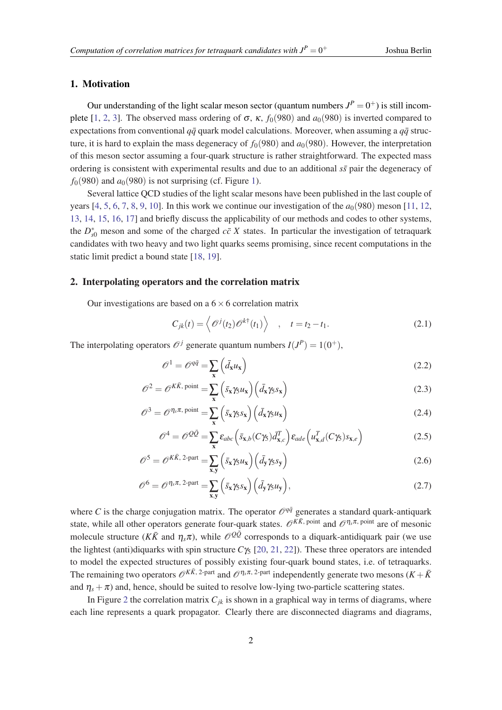# <span id="page-1-0"></span>1. Motivation

Our understanding of the light scalar meson sector (quantum numbers  $J^P = 0^+$ ) is still incom-plete [\[1,](#page-6-0) [2,](#page-6-0) [3](#page-6-0)]. The observed mass ordering of  $\sigma$ ,  $\kappa$ ,  $f_0(980)$  and  $a_0(980)$  is inverted compared to expectations from conventional  $q\bar{q}$  quark model calculations. Moreover, when assuming a  $q\bar{q}$  structure, it is hard to explain the mass degeneracy of  $f_0(980)$  and  $a_0(980)$ . However, the interpretation of this meson sector assuming a four-quark structure is rather straightforward. The expected mass ordering is consistent with experimental results and due to an additional  $s\bar{s}$  pair the degeneracy of  $f<sub>0</sub>(980)$  and  $a<sub>0</sub>(980)$  is not surprising (cf. Figure [1\)](#page-2-0).

Several lattice QCD studies of the light scalar mesons have been published in the last couple of years  $[4, 5, 6, 7, 8, 9, 10]$  $[4, 5, 6, 7, 8, 9, 10]$  $[4, 5, 6, 7, 8, 9, 10]$  $[4, 5, 6, 7, 8, 9, 10]$  $[4, 5, 6, 7, 8, 9, 10]$  $[4, 5, 6, 7, 8, 9, 10]$  $[4, 5, 6, 7, 8, 9, 10]$  $[4, 5, 6, 7, 8, 9, 10]$  $[4, 5, 6, 7, 8, 9, 10]$  $[4, 5, 6, 7, 8, 9, 10]$  $[4, 5, 6, 7, 8, 9, 10]$  $[4, 5, 6, 7, 8, 9, 10]$  $[4, 5, 6, 7, 8, 9, 10]$  $[4, 5, 6, 7, 8, 9, 10]$ . In this work we continue our investigation of the  $a_0(980)$  meson  $[11, 12, 12]$  $[11, 12, 12]$  $[11, 12, 12]$  $[11, 12, 12]$ [13](#page-6-0), [14,](#page-6-0) [15,](#page-6-0) [16](#page-6-0), [17\]](#page-6-0) and briefly discuss the applicability of our methods and codes to other systems, the  $D_{s0}^*$  meson and some of the charged  $c\bar{c}X$  states. In particular the investigation of tetraquark candidates with two heavy and two light quarks seems promising, since recent computations in the static limit predict a bound state [\[18](#page-6-0), [19\]](#page-6-0).

## 2. Interpolating operators and the correlation matrix

Our investigations are based on a  $6 \times 6$  correlation matrix

$$
C_{jk}(t) = \left\langle \mathcal{O}^{j}(t_2) \mathcal{O}^{k\dagger}(t_1) \right\rangle , \quad t = t_2 - t_1.
$$
 (2.1)

The interpolating operators  $\mathcal{O}^j$  generate quantum numbers  $I(J^P) = 1(0^+),$ 

$$
\mathscr{O}^1 = \mathscr{O}^{q\bar{q}} = \sum_{\mathbf{x}} \left( \bar{d}_{\mathbf{x}} u_{\mathbf{x}} \right) \tag{2.2}
$$

$$
\mathcal{O}^2 = \mathcal{O}^{K\bar{K}, \text{ point}} = \sum_{\mathbf{x}} \left( \bar{s}_{\mathbf{x}} \gamma_5 u_{\mathbf{x}} \right) \left( \bar{d}_{\mathbf{x}} \gamma_5 s_{\mathbf{x}} \right) \tag{2.3}
$$

$$
\mathscr{O}^3 = \mathscr{O}^{\eta_s \pi, \text{ point}} = \sum_{\mathbf{x}} \left( \bar{s}_{\mathbf{x}} \gamma_5 s_{\mathbf{x}} \right) \left( \bar{d}_{\mathbf{x}} \gamma_5 u_{\mathbf{x}} \right) \tag{2.4}
$$

$$
\mathscr{O}^4 = \mathscr{O}^{\mathcal{Q}\bar{\mathcal{Q}}} = \sum_{\mathbf{x}} \varepsilon_{abc} \left( \bar{s}_{\mathbf{x},b} (C\gamma_5) \bar{d}_{\mathbf{x},c}^T \right) \varepsilon_{ade} \left( u_{\mathbf{x},d}^T (C\gamma_5) s_{\mathbf{x},e} \right)
$$
(2.5)

$$
\mathscr{O}^5 = \mathscr{O}^{K\bar{K}, 2\text{-part}} = \sum_{\mathbf{x}, \mathbf{y}} \left( \bar{s}_{\mathbf{x}} \gamma_5 u_{\mathbf{x}} \right) \left( \bar{d}_{\mathbf{y}} \gamma_5 s_{\mathbf{y}} \right)
$$
(2.6)

$$
\mathscr{O}^6 = \mathscr{O}^{\eta_s \pi, 2\text{-part}} = \sum_{\mathbf{x}, \mathbf{y}} \left( \bar{s}_{\mathbf{x}} \gamma_5 s_{\mathbf{x}} \right) \left( \bar{d}_{\mathbf{y}} \gamma_5 u_{\mathbf{y}} \right), \tag{2.7}
$$

where *C* is the charge conjugation matrix. The operator  $\mathcal{O}^{q\bar{q}}$  generates a standard quark-antiquark state, while all other operators generate four-quark states.  $\mathcal{O}^{K\bar{K}}$ , point and  $\mathcal{O}^{\eta_s\pi}$ , point are of mesonic molecule structure ( $K\bar{K}$  and  $\eta_s\pi$ ), while  $\mathcal{O}^{Q\bar{Q}}$  corresponds to a diquark-antidiquark pair (we use the lightest (anti)diquarks with spin structure  $C\gamma_5$  [[20](#page-6-0), [21,](#page-6-0) [22](#page-6-0)]). These three operators are intended to model the expected structures of possibly existing four-quark bound states, i.e. of tetraquarks. The remaining two operators  $\mathcal{O}^{K\bar{K}$ , 2-part and  $\mathcal{O}^{\eta_s\pi}$ , 2-part independently generate two mesons  $(K+\bar{K}^{\eta_s})$ and  $\eta_s + \pi$ ) and, hence, should be suited to resolve low-lying two-particle scattering states.

In Figure [2](#page-2-0) the correlation matrix  $C_{ik}$  is shown in a graphical way in terms of diagrams, where each line represents a quark propagator. Clearly there are disconnected diagrams and diagrams,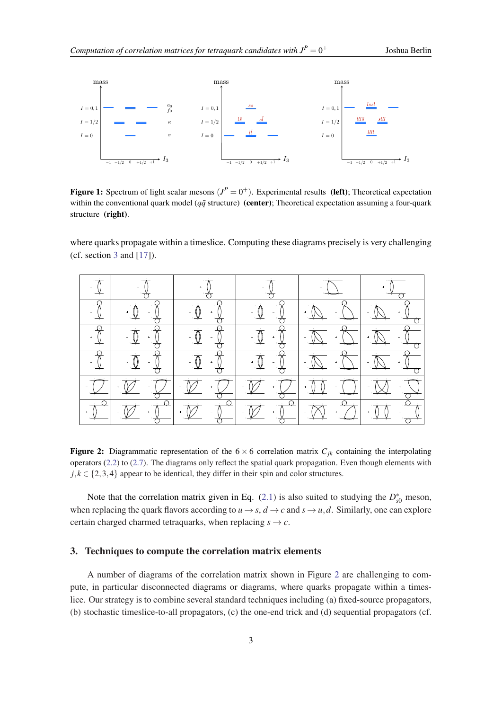<span id="page-2-0"></span>

Figure 1: Spectrum of light scalar mesons  $(J^P = 0^+)$ . Experimental results (left); Theoretical expectation within the conventional quark model ( $q\bar{q}$  structure) (center); Theoretical expectation assuming a four-quark structure (right).

where quarks propagate within a timeslice. Computing these diagrams precisely is very challenging (cf. section 3 and  $[17]$  $[17]$ ).

| $\begin{array}{c c} \hline \textbf{0} & \textbf{0} \\ \hline \textbf{0} & \textbf{0} \end{array}$                                                                                                                                                                                                                                                                                                                               | $-\frac{1}{C}$                                                                                                                                                                                                                                                                                                                                      |                                                                                                                                                                                                                                                                                                                               |                                             | $\frac{1}{\sqrt{2}}$ |                                                                                                                                                                                                                                                                                                                                                                                                                                              |
|---------------------------------------------------------------------------------------------------------------------------------------------------------------------------------------------------------------------------------------------------------------------------------------------------------------------------------------------------------------------------------------------------------------------------------|-----------------------------------------------------------------------------------------------------------------------------------------------------------------------------------------------------------------------------------------------------------------------------------------------------------------------------------------------------|-------------------------------------------------------------------------------------------------------------------------------------------------------------------------------------------------------------------------------------------------------------------------------------------------------------------------------|---------------------------------------------|----------------------|----------------------------------------------------------------------------------------------------------------------------------------------------------------------------------------------------------------------------------------------------------------------------------------------------------------------------------------------------------------------------------------------------------------------------------------------|
| $\frac{1}{\sqrt{1-\frac{1}{2}}}\frac{1}{\sqrt{1-\frac{1}{2}}}\frac{1}{\sqrt{1-\frac{1}{2}}}\frac{1}{\sqrt{1-\frac{1}{2}}}\frac{1}{\sqrt{1-\frac{1}{2}}}\frac{1}{\sqrt{1-\frac{1}{2}}}\frac{1}{\sqrt{1-\frac{1}{2}}}\frac{1}{\sqrt{1-\frac{1}{2}}}\frac{1}{\sqrt{1-\frac{1}{2}}}\frac{1}{\sqrt{1-\frac{1}{2}}}\frac{1}{\sqrt{1-\frac{1}{2}}}\frac{1}{\sqrt{1-\frac{1}{2}}}\frac{1}{\sqrt{1-\frac{1}{2}}}\frac{1}{\sqrt{1-\frac{$ | $\frac{1}{\sqrt{2}}$                                                                                                                                                                                                                                                                                                                                | $-\frac{1}{\sqrt{2}}$ $+\frac{1}{\sqrt{2}}$                                                                                                                                                                                                                                                                                   | $-\frac{1}{\sqrt{2}}$ $-\frac{1}{\sqrt{2}}$ |                      | $\frac{1}{\sqrt{2}}$                                                                                                                                                                                                                                                                                                                                                                                                                         |
|                                                                                                                                                                                                                                                                                                                                                                                                                                 | $\begin{picture}(150,10) \put(0,0){\line(1,0){10}} \put(15,0){\line(1,0){10}} \put(15,0){\line(1,0){10}} \put(15,0){\line(1,0){10}} \put(15,0){\line(1,0){10}} \put(15,0){\line(1,0){10}} \put(15,0){\line(1,0){10}} \put(15,0){\line(1,0){10}} \put(15,0){\line(1,0){10}} \put(15,0){\line(1,0){10}} \put(15,0){\line(1,0){10}} \put(15,0){\line($ | $\begin{picture}(120,115) \put(150,115){\line(1,0){155}} \put(150,115){\line(1,0){155}} \put(150,115){\line(1,0){155}} \put(150,115){\line(1,0){155}} \put(150,115){\line(1,0){155}} \put(150,115){\line(1,0){155}} \put(150,115){\line(1,0){155}} \put(150,115){\line(1,0){155}} \put(150,115){\line(1,0){155}} \put(150,11$ |                                             |                      |                                                                                                                                                                                                                                                                                                                                                                                                                                              |
|                                                                                                                                                                                                                                                                                                                                                                                                                                 | $\begin{array}{c c c c} \hline \cdot & \circ & \circ \\ \hline \downarrow & \circ & \circ \\ \hline \downarrow & \circ & \circ \end{array}$                                                                                                                                                                                                         | $\frac{1}{\sqrt{2}}$                                                                                                                                                                                                                                                                                                          |                                             |                      | $\frac{Q}{Q} \cdot \overline{Q} - \overline{Q} \cdot \overline{Q} \cdot \overline{Q} - \overline{Q} \cdot \overline{Q}$                                                                                                                                                                                                                                                                                                                      |
|                                                                                                                                                                                                                                                                                                                                                                                                                                 | $-\overline{\mathcal{Q}}$ $\overline{\mathcal{V}}$ $\overline{\mathcal{Q}}$                                                                                                                                                                                                                                                                         | $\sqrt{2}$                                                                                                                                                                                                                                                                                                                    |                                             |                      | $\frac{1}{\sqrt{2}}$                                                                                                                                                                                                                                                                                                                                                                                                                         |
|                                                                                                                                                                                                                                                                                                                                                                                                                                 |                                                                                                                                                                                                                                                                                                                                                     |                                                                                                                                                                                                                                                                                                                               |                                             |                      | $\frac{1}{\sqrt{1-\frac{1}{2}}} = \frac{1}{\sqrt{1-\frac{1}{2}}} = \frac{1}{\sqrt{1-\frac{1}{2}}} = \frac{1}{\sqrt{1-\frac{1}{2}}} = \frac{1}{\sqrt{1-\frac{1}{2}}} = \frac{1}{\sqrt{1-\frac{1}{2}}} = \frac{1}{\sqrt{1-\frac{1}{2}}} = \frac{1}{\sqrt{1-\frac{1}{2}}} = \frac{1}{\sqrt{1-\frac{1}{2}}} = \frac{1}{\sqrt{1-\frac{1}{2}}} = \frac{1}{\sqrt{1-\frac{1}{2}}} = \frac{1}{\sqrt{1-\frac{1}{2}}} = \frac{1}{\sqrt{1-\frac{1}{2}}}$ |

**Figure 2:** Diagrammatic representation of the  $6 \times 6$  correlation matrix  $C_{jk}$  containing the interpolating operators [\(2.2\)](#page-1-0) to ([2.7](#page-1-0)). The diagrams only reflect the spatial quark propagation. Even though elements with  $j, k \in \{2, 3, 4\}$  appear to be identical, they differ in their spin and color structures.

Note that the correlation matrix given in Eq.  $(2.1)$  $(2.1)$  is also suited to studying the  $D_{s0}^*$  meson, when replacing the quark flavors according to  $u \rightarrow s$ ,  $d \rightarrow c$  and  $s \rightarrow u$ , *d*. Similarly, one can explore certain charged charmed tetraquarks, when replacing  $s \rightarrow c$ .

## 3. Techniques to compute the correlation matrix elements

A number of diagrams of the correlation matrix shown in Figure 2 are challenging to compute, in particular disconnected diagrams or diagrams, where quarks propagate within a timeslice. Our strategy is to combine several standard techniques including (a) fixed-source propagators, (b) stochastic timeslice-to-all propagators, (c) the one-end trick and (d) sequential propagators (cf.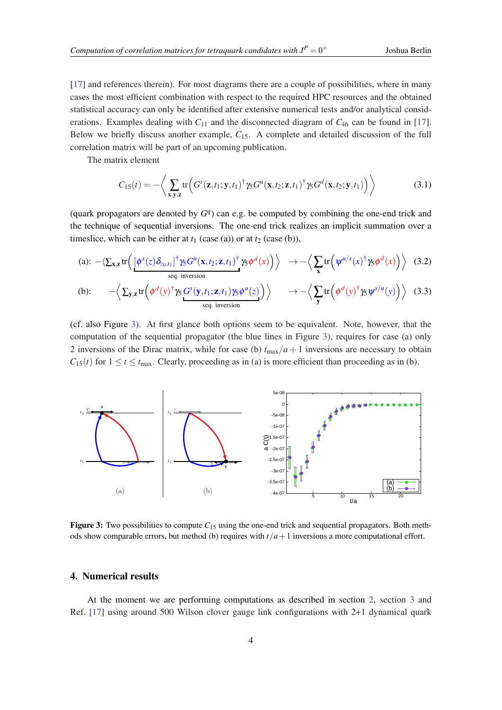<span id="page-3-0"></span>[[17\]](#page-6-0) and references therein). For most diagrams there are a couple of possibilities, where in many cases the most efficient combination with respect to the required HPC resources and the obtained statistical accuracy can only be identified after extensive numerical tests and/or analytical considerations. Examples dealing with  $C_{11}$  and the disconnected diagram of  $C_{46}$  can be found in [[17\]](#page-6-0). Below we briefly discuss another example, *C*15. A complete and detailed discussion of the full correlation matrix will be part of an upcoming publication.

The matrix element

$$
C_{15}(t) = -\left\langle \sum_{\mathbf{x}, \mathbf{y}, \mathbf{z}} \text{tr}\left( G^{s}(\mathbf{z}, t_{1}; \mathbf{y}, t_{1})^{\dagger} \gamma_{5} G^{u}(\mathbf{x}, t_{2}; \mathbf{z}, t_{1})^{\dagger} \gamma_{5} G^{d}(\mathbf{x}, t_{2}; \mathbf{y}, t_{1}) \right) \right\rangle \tag{3.1}
$$

(quark propagators are denoted by  $G<sup>q</sup>$ ) can e.g. be computed by combining the one-end trick and the technique of sequential inversions. The one-end trick realizes an implicit summation over a timeslice, which can be either at  $t_1$  (case (a)) or at  $t_2$  (case (b)),

(a): 
$$
-\langle \sum_{\mathbf{x},\mathbf{z}} \text{tr}\left(\frac{[\phi^s(z)\delta_{z_0,t_1}]^\dagger \gamma_5 G^u(\mathbf{x},t_2;\mathbf{z},t_1)^\dagger \gamma_5 \phi^d(x)\right)\rangle \rightarrow -\langle \sum_{\mathbf{x}} \text{tr}\left(\psi^{u/s}(x)^\dagger \gamma_5 \phi^d(x)\right)\rangle
$$
 (3.2)  
\n(b):  $-\langle \sum_{\mathbf{y},\mathbf{z}} \text{tr}\left(\phi^d(y)^\dagger \gamma_5 G^s(\mathbf{y},t_1;\mathbf{z},t_1) \gamma_5 \phi^u(z)\right)\rangle \rightarrow -\langle \sum_{\mathbf{y}} \text{tr}\left(\phi^d(y)^\dagger \gamma_5 \psi^{s/u}(y)\right)\rangle$  (3.3)

(cf. also Figure 3). At first glance both options seem to be equivalent. Note, however, that the computation of the sequential propagator (the blue lines in Figure 3), requires for case (a) only 2 inversions of the Dirac matrix, while for case (b)  $t_{\text{max}}/a + 1$  inversions are necessary to obtain  $C_{15}(t)$  for  $1 \le t \le t_{\text{max}}$ . Clearly, proceeding as in (a) is more efficient than proceeding as in (b).

seq. inversion



**Figure 3:** Two possibilities to compute  $C_{15}$  using the one-end trick and sequential propagators. Both methods show comparable errors, but method (b) requires with *t*/*a*+1 inversions a more computational effort.

#### 4. Numerical results

At the moment we are performing computations as described in section [2](#page-1-0), section [3](#page-2-0) and Ref. [\[17](#page-6-0)] using around 500 Wilson clover gauge link configurations with 2+1 dynamical quark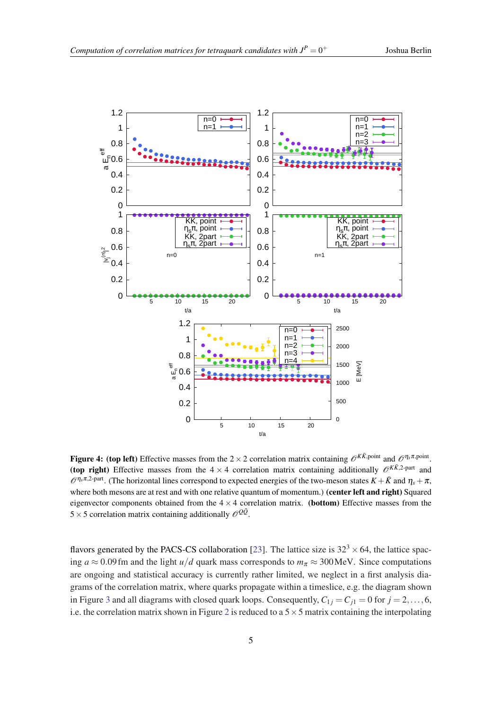<span id="page-4-0"></span>

Figure 4: (top left) Effective masses from the  $2 \times 2$  correlation matrix containing  $\mathscr{O}^{K\bar{K}$ , point and  $\mathscr{O}^{\eta_s \pi, \text{point}}$ . (top right) Effective masses from the  $4 \times 4$  correlation matrix containing additionally  $\mathcal{O}^{K\bar{K},2\text{-part}}$  and  $\mathcal{O}^{\eta_s \pi,2\text{-part}}$ . (The horizontal lines correspond to expected energies of the two-meson states  $K+\bar{K}$  and  $\eta_s+\pi$ , where both mesons are at rest and with one relative quantum of momentum.) (center left and right) Squared eigenvector components obtained from the  $4 \times 4$  correlation matrix. (bottom) Effective masses from the 5  $\times$  5 correlation matrix containing additionally  $\mathcal{O}^{Q\bar{Q}}$ .

flavors generated by the PACS-CS collaboration [\[23\]](#page-6-0). The lattice size is  $32<sup>3</sup> \times 64$ , the lattice spacing  $a \approx 0.09$  fm and the light  $u/d$  quark mass corresponds to  $m_\pi \approx 300$  MeV. Since computations are ongoing and statistical accuracy is currently rather limited, we neglect in a first analysis diagrams of the correlation matrix, where quarks propagate within a timeslice, e.g. the diagram shown in Figure [3](#page-3-0) and all diagrams with closed quark loops. Consequently,  $C_{1i} = C_{i1} = 0$  for  $j = 2, ..., 6$ , i.e. the correlation matrix shown in Figure [2](#page-2-0) is reduced to a  $5 \times 5$  matrix containing the interpolating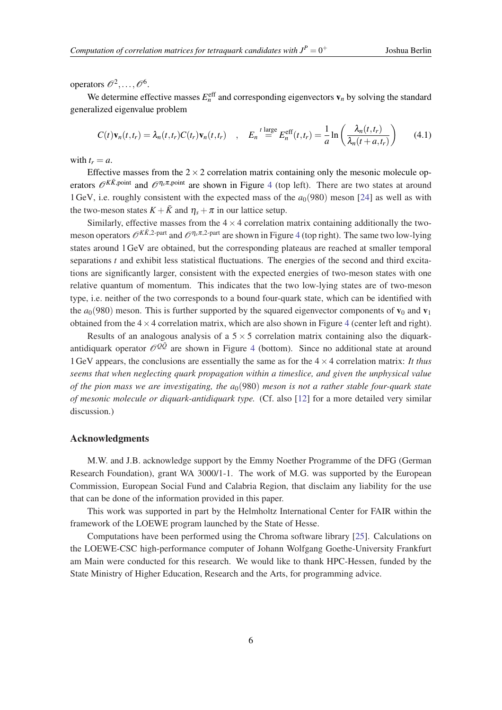operators  $\mathcal{O}^2, \ldots, \mathcal{O}^6$ .

We determine effective masses  $E_n^{\text{eff}}$  and corresponding eigenvectors  $\mathbf{v}_n$  by solving the standard generalized eigenvalue problem

$$
C(t)\mathbf{v}_n(t,t_r) = \lambda_n(t,t_r)C(t_r)\mathbf{v}_n(t,t_r) \quad , \quad E_n \stackrel{t \text{ large}}{=} E_n^{\text{eff}}(t,t_r) = \frac{1}{a}\ln\left(\frac{\lambda_n(t,t_r)}{\lambda_n(t+a,t_r)}\right) \tag{4.1}
$$

with  $t_r = a$ .

Effective masses from the  $2 \times 2$  correlation matrix containing only the mesonic molecule operators  $\mathcal{O}^{K\bar{K}$ , point and  $\mathcal{O}^{\eta_s\pi}$ , point are shown in Figure [4](#page-4-0) (top left). There are two states at around 1 GeV, i.e. roughly consistent with the expected mass of the  $a<sub>0</sub>(980)$  meson [\[24](#page-6-0)] as well as with the two-meson states  $K + \bar{K}$  and  $\eta_s + \pi$  in our lattice setup.

Similarly, effective masses from the  $4 \times 4$  correlation matrix containing additionally the twomeson operators  $\mathcal{O}^{K\bar{K},2\text{-part}}$  and  $\mathcal{O}^{\eta_s\pi,2\text{-part}}$  are shown in Figure [4](#page-4-0) (top right). The same two low-lying states around 1GeV are obtained, but the corresponding plateaus are reached at smaller temporal separations *t* and exhibit less statistical fluctuations. The energies of the second and third excitations are significantly larger, consistent with the expected energies of two-meson states with one relative quantum of momentum. This indicates that the two low-lying states are of two-meson type, i.e. neither of the two corresponds to a bound four-quark state, which can be identified with the  $a_0(980)$  meson. This is further supported by the squared eigenvector components of  $\mathbf{v}_0$  and  $\mathbf{v}_1$ obtained from the  $4 \times 4$  $4 \times 4$  correlation matrix, which are also shown in Figure 4 (center left and right).

Results of an analogous analysis of a  $5 \times 5$  correlation matrix containing also the diquarkantidiquark operator  $\mathcal{O}^{Q\bar{Q}}$  are shown in Figure [4](#page-4-0) (bottom). Since no additional state at around 1GeV appears, the conclusions are essentially the same as for the 4×4 correlation matrix: *It thus seems that when neglecting quark propagation within a timeslice, and given the unphysical value of the pion mass we are investigating, the a*0(980) *meson is not a rather stable four-quark state of mesonic molecule or diquark-antidiquark type.* (Cf. also [\[12](#page-6-0)] for a more detailed very similar discussion.)

## Acknowledgments

M.W. and J.B. acknowledge support by the Emmy Noether Programme of the DFG (German Research Foundation), grant WA 3000/1-1. The work of M.G. was supported by the European Commission, European Social Fund and Calabria Region, that disclaim any liability for the use that can be done of the information provided in this paper.

This work was supported in part by the Helmholtz International Center for FAIR within the framework of the LOEWE program launched by the State of Hesse.

Computations have been performed using the Chroma software library [[25](#page-6-0)]. Calculations on the LOEWE-CSC high-performance computer of Johann Wolfgang Goethe-University Frankfurt am Main were conducted for this research. We would like to thank HPC-Hessen, funded by the State Ministry of Higher Education, Research and the Arts, for programming advice.